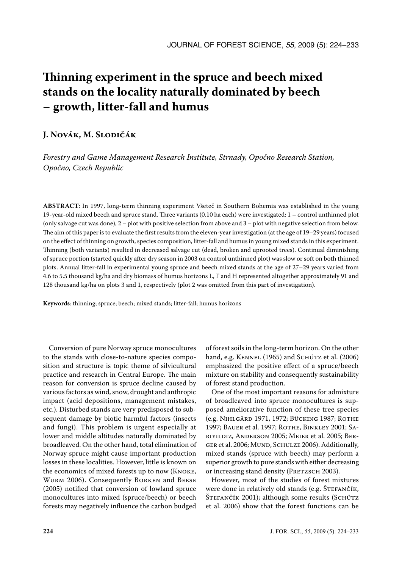# **Thinning experiment in the spruce and beech mixed stands on the locality naturally dominated by beech – growth, litter-fall and humus**

# **J. Novák, M. Slodičák**

*Forestry and Game Management Research Institute, Strnady, Opočno Research Station, Opočno, Czech Republic*

**ABSTRACT**: In 1997, long-term thinning experiment Všeteč in Southern Bohemia was established in the young 19-year-old mixed beech and spruce stand. Three variants (0.10 ha each) were investigated: 1 – control unthinned plot (only salvage cut was done),  $2$  – plot with positive selection from above and  $3$  – plot with negative selection from below. The aim of this paper is to evaluate the first results from the eleven-year investigation (at the age of 19–29 years) focused on the effect of thinning on growth, species composition, litter-fall and humus in young mixed stands in this experiment. Thinning (both variants) resulted in decreased salvage cut (dead, broken and uprooted trees). Continual diminishing of spruce portion (started quickly after dry season in 2003 on control unthinned plot) was slow or soft on both thinned plots. Annual litter-fall in experimental young spruce and beech mixed stands at the age of 27–29 years varied from 4.6 to 5.5 thousand kg/ha and dry biomass of humus horizons L, F and H represented altogether approximately 91 and 128 thousand kg/ha on plots 3 and 1, respectively (plot 2 was omitted from this part of investigation).

**Keywords**: thinning; spruce; beech; mixed stands; litter-fall; humus horizons

Conversion of pure Norway spruce monocultures to the stands with close-to-nature species composition and structure is topic theme of silvicultural practice and research in Central Europe. The main reason for conversion is spruce decline caused by various factors as wind, snow, drought and anthropic impact (acid depositions, management mistakes, etc.). Disturbed stands are very predisposed to subsequent damage by biotic harmful factors (insects and fungi). This problem is urgent especially at lower and middle altitudes naturally dominated by broadleaved. On the other hand, total elimination of Norway spruce might cause important production losses in these localities. However, little is known on the economics of mixed forests up to now (Knoke, Wurm 2006). Consequently Borken and Beese (2005) notified that conversion of lowland spruce monocultures into mixed (spruce/beech) or beech forests may negatively influence the carbon budged

of forest soils in the long-term horizon. On the other hand, e.g. KENNEL (1965) and SCHÜTZ et al. (2006) emphasized the positive effect of a spruce/beech mixture on stability and consequently sustainability of forest stand production.

One of the most important reasons for admixture of broadleaved into spruce monocultures is supposed ameliorative function of these tree species (e.g. Nihlgård 1971, 1972; Bücking 1987; Rothe 1997; BAUER et al. 1997; ROTHE, BINKLEY 2001; SAriyildiz, Anderson 2005; Meier et al. 2005; Ber-GER et al. 2006; MUND, SCHULZE 2006). Additionally, mixed stands (spruce with beech) may perform a superior growth to pure stands with either decreasing or increasing stand density (PRETZSCH 2003).

However, most of the studies of forest mixtures were done in relatively old stands (e.g. ŠTEFANČÍK, ŠTEFANČÍK 2001); although some results (SCHÜTZ et al. 2006) show that the forest functions can be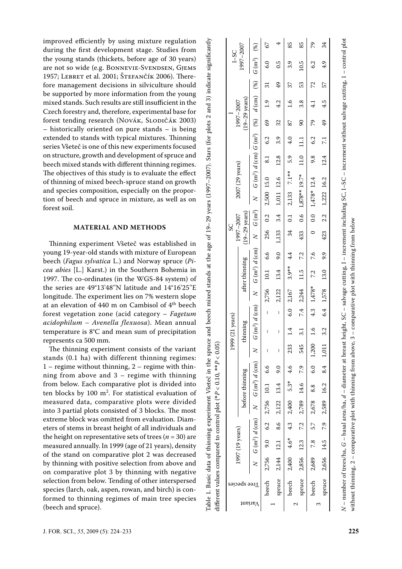improved efficiently by using mixture regulation during the first development stage. Studies from the young stands (thickets, before age of 30 years) are not so wide (e.g. Bonnevie-Svendsen, Gjems 1957; LEBRET et al. 2001; ŠTEFANČÍK 2006). Therefore management decisions in silviculture should be supported by more information from the young mixed stands. Such results are still insufficient in the Czech forestry and, therefore, experimental base for forest tending research (Novák, SLODIČÁK 2003) – historically oriented on pure stands – is being extended to stands with typical mixtures. Thinning series Všeteč is one of this new experiments focused on structure, growth and development of spruce and beech mixed stands with different thinning regimes. The objectives of this study is to evaluate the effect of thinning of mixed beech-spruce stand on growth and species composition, especially on the proportion of beech and spruce in mixture, as well as on forest soil.

# **MATERIAL AND METHODS**

Thinning experiment Všeteč was established in young 19-year-old stands with mixture of European beech (*Fagus sylvatica* L.) and Norway spruce (*Picea abies* [L.] Karst.) in the Southern Bohemia in 1997. The co-ordinates (in the WGS-84 system) of the series are 49°13'48''N latitude and 14°16'25''E longitude. The experiment lies on 7% western slope at an elevation of  $440$  m on Cambisol of  $4<sup>th</sup>$  beech forest vegetation zone (acid category – *Fagetum acidophilum – Avenella flexuosa*). Mean annual temperature is 8°C and mean sum of precipitation represents ca 500 mm.

The thinning experiment consists of the variant stands (0.1 ha) with different thinning regimes:  $1 -$  regime without thinning,  $2 -$  regime with thinning from above and 3 – regime with thinning from below. Each comparative plot is divided into ten blocks by 100 m<sup>2</sup> . For statistical evaluation of measured data, comparative plots were divided into 3 partial plots consisted of 3 blocks. The most extreme block was omitted from evaluation. Diameters of stems in breast height of all individuals and the height on representative sets of trees ( $n = 30$ ) are measured annually. In 1999 (age of 21 years), density of the stand on comparative plot 2 was decreased by thinning with positive selection from above and on comparative plot 3 by thinning with negative selection from below. Tending of other interspersed species (larch, oak, aspen, rowan, and birch) is conformed to thinning regimes of main tree species (beech and spruce).

|         |              |       |                 |     |                                 |                 |               | 1999  | 21 years)       |                |              |                |             | SC                                   |     |                                                                                                                                                                                                                                                   |           |      |          |                                      |    | $S-1$         |    |
|---------|--------------|-------|-----------------|-----|---------------------------------|-----------------|---------------|-------|-----------------|----------------|--------------|----------------|-------------|--------------------------------------|-----|---------------------------------------------------------------------------------------------------------------------------------------------------------------------------------------------------------------------------------------------------|-----------|------|----------|--------------------------------------|----|---------------|----|
| Variant | Tree species |       | 1997 (19 years) |     |                                 | before thinning |               |       | thinning        |                |              | after thinning |             | $(19-29 \text{ years})$<br>1997-2007 |     | 2007 (29 years)                                                                                                                                                                                                                                   |           |      |          | $(19-29 \text{ years})$<br>1997-2007 |    | 1997-2007     |    |
|         |              |       |                 |     |                                 |                 |               |       |                 |                |              |                |             |                                      |     | $N$ $G$ $(m^2)$ $d$ $(cm)$ $d$ $(cm)$ $d$ $(cm)$ $d$ $(cm)$ $d$ $(cm)$ $N$ $G$ $(m^2)$ $d$ $(cm)$ $N$ $G$ $(m^2)$ $d$ $(cm)$ $d$ $(cm)$ $d$ $(cm)$ $(dm)$ $d$ $(cm)$ $d$ $(cm)$ $d$ $(cm)$ $d$ $(cm)$ $d$ $(cm)$ $d$ $(cm)$ $d$ $(cm)$ $d$ $(cm)$ |           |      |          |                                      |    | $G(m^2)$ (%)  |    |
|         | beech        |       |                 |     | 2,756 9.0 6.2 2,756 10.1        |                 | 6.6           |       | I               | I              | 2,756        | 10.1           | 99          |                                      |     | 256 0.2 2,500 15.0                                                                                                                                                                                                                                | $\approx$ | 6.2  | $^{69}$  | $\frac{1}{2}$                        | ಸ  | $\frac{6}{3}$ | 59 |
|         | spruce       |       |                 |     | $2,144$ 12.1 8.6 2,122          | 13.4            | 9.0           | I     | $\mathsf I$     | $\overline{1}$ | 2,122        | 13.4           | $0.6\,$     |                                      |     | $1,133$ $3.4$ $1,011$ $12.6$                                                                                                                                                                                                                      | 12.8      | 3.9  | 32       | 4.2                                  | 49 | 0.5           |    |
|         | beech        |       |                 |     | $2,400$ 4.6* 4.3 2,400 5.3* 4.6 |                 |               | 233   | $\ddot{ }$      |                | 6.0 2,167    | $3.9***$       | $4\ddot{4}$ | ನ್ನ                                  |     | $0.1$ $2,133$ $7.1**$                                                                                                                                                                                                                             | 5.9       | 4.0  | 87       | 9.7                                  | 37 | 3.9           | 85 |
| Z       | spruce       |       | 2,856 12.3      |     | 7.2 2,789                       | 14.6            | 7.9           | 545   | $\overline{31}$ |                | $7.4$ 2,244  | 11.5           | 7.2         | 433                                  |     | $0.6$ 1,878** 19.7*                                                                                                                                                                                                                               | 11.0      | 11.1 | $\infty$ | 3.8                                  | 53 | 10.5          | 85 |
| 3       | beech        | 2,689 | 7.8             | 5.7 | 2,678 8.8                       |                 | $\frac{6}{6}$ | 1,200 | $\frac{6}{1}$   |                | 4.3 $1,478*$ | 7.2            | 9.6         |                                      |     | $0.0$ 1,478* 12.4                                                                                                                                                                                                                                 | 9.8       | 6.2  | 79       | $\vec{r}$                            | 72 | 6.2           | 79 |
|         | spruce       |       | 2,656 14.5      |     | 7.9 2,589 16.2                  |                 | 8.4           | 1,011 | 3.2             |                | 6.4 1,578    | 13.0           | 9.9         | 423                                  | 2.2 | 1,222 16.2                                                                                                                                                                                                                                        | 12.4      | 7.1  | 49       | 4.5                                  | 57 | 4.9           | 34 |

Table 1. Basic data of thinning experiment Všeteč in the spruce and beech mixed stands at the age of 19–29 years (1997–2007). Stars (for plots 2 and 3) indicate significantly

experiment Všeteč in the spruce and

Table 1. Basic data of thinning

beech mixed stands at the age of 19-29 years (1997-2007). Stars (for plots 2 and 3) indicate significantly

without thinning, 2 – comparative plot with thinning from above, 3 – comparative plot with thinning from below

without thinning, 2 - comparative plot with thinning from above, 3 - comparative plot with thinning from below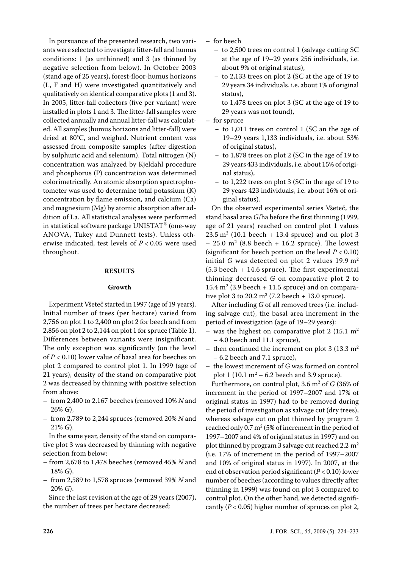In pursuance of the presented research, two variants were selected to investigate litter-fall and humus conditions: 1 (as unthinned) and 3 (as thinned by negative selection from below). In October 2003 (stand age of 25 years), forest-floor-humus horizons (L, F and H) were investigated quantitatively and qualitatively on identical comparative plots (1 and 3). In 2005, litter-fall collectors (five per variant) were installed in plots 1 and 3. The litter-fall samples were collected annually and annual litter-fall was calculated. All samples (humus horizons and litter-fall) were dried at 80°C, and weighed. Nutrient content was assessed from composite samples (after digestion by sulphuric acid and selenium). Total nitrogen (N) concentration was analyzed by Kjeldahl procedure and phosphorus (P) concentration was determined colorimetrically. An atomic absorption spectrophotometer was used to determine total potassium (K) concentration by flame emission, and calcium (Ca) and magnesium (Mg) by atomic absorption after addition of La. All statistical analyses were performed in statistical software package UNISTAT® (one-way ANOVA, Tukey and Dunnett tests). Unless otherwise indicated, test levels of *P* < 0.05 were used throughout.

### **RESULTS**

#### **Growth**

Experiment Všeteč started in 1997 (age of 19 years). Initial number of trees (per hectare) varied from 2,756 on plot 1 to 2,400 on plot 2 for beech and from 2,856 on plot 2 to 2,144 on plot 1 for spruce (Table 1). Differences between variants were insignificant. The only exception was significantly (on the level of *P* < 0.10) lower value of basal area for beeches on plot 2 compared to control plot 1. In 1999 (age of 21 years), density of the stand on comparative plot 2 was decreased by thinning with positive selection from above:

- from 2,400 to 2,167 beeches (removed 10% *N* and 26% *G*),
- from 2,789 to 2,244 spruces (removed 20% *N* and 21% *G*).

In the same year, density of the stand on comparative plot 3 was decreased by thinning with negative selection from below:

- from 2,678 to 1,478 beeches (removed 45% *N* and 18% *G*),
- from 2,589 to 1,578 spruces (removed 39% *N* and 20% *G*).

Since the last revision at the age of 29 years (2007), the number of trees per hectare decreased:

- for beech
	- − to 2,500 trees on control 1 (salvage cutting SC at the age of 19–29 years 256 individuals, i.e. about 9% of original status),
	- − to 2,133 trees on plot 2 (SC at the age of 19 to 29 years 34 individuals. i.e. about 1% of original status),
	- − to 1,478 trees on plot 3 (SC at the age of 19 to 29 years was not found),
- for spruce
	- − to 1,011 trees on control 1 (SC an the age of 19–29 years 1,133 individuals, i.e. about 53% of original status),
	- − to 1,878 trees on plot 2 (SC in the age of 19 to 29 years 433 individuals, i.e. about 15% of original status),
	- − to 1,222 trees on plot 3 (SC in the age of 19 to 29 years 423 individuals, i.e. about 16% of original status).

On the observed experimental series Všeteč, the stand basal area *G*/ha before the first thinning (1999, age of 21 years) reached on control plot 1 values  $23.5 \text{ m}^2$  (10.1 beech + 13.4 spruce) and on plot 3  $- 25.0$  m<sup>2</sup> (8.8 beech + 16.2 spruce). The lowest (significant for beech portion on the level  $P < 0.10$ ) initial *G* was detected on plot 2 values  $19.9 \text{ m}^2$ (5.3 beech + 14.6 spruce). The first experimental thinning decreased *G* on comparative plot 2 to  $15.4 \text{ m}^2$  (3.9 beech + 11.5 spruce) and on comparative plot 3 to 20.2  $m^2$  (7.2 beech + 13.0 spruce).

After including *G* of all removed trees (i.e. including salvage cut), the basal area increment in the period of investigation (age of 19–29 years):

- was the highest on comparative plot 2 (15.1 m<sup>2</sup>) – 4.0 beech and 11.1 spruce),
- then continued the increment on plot 3 (13.3  $m<sup>2</sup>$ ) – 6.2 beech and 7.1 spruce),
- the lowest increment of *G* was formed on control plot  $1(10.1 \text{ m}^2 - 6.2 \text{ beach} \text{ and } 3.9 \text{ spruce}).$

Furthermore, on control plot,  $3.6 \text{ m}^2$  of  $G$  (36% of increment in the period of 1997–2007 and 17% of original status in 1997) had to be removed during the period of investigation as salvage cut (dry trees), whereas salvage cut on plot thinned by program 2 reached only 0.7  $m^2$  (5% of increment in the period of 1997–2007 and 4% of original status in 1997) and on plot thinned by program 3 salvage cut reached 2.2  $m<sup>2</sup>$ (i.e. 17% of increment in the period of 1997–2007 and 10% of original status in 1997). In 2007, at the end of observation period significant (*P* < 0.10) lower number of beeches (according to values directly after thinning in 1999) was found on plot 3 compared to control plot. On the other hand, we detected significantly ( $P < 0.05$ ) higher number of spruces on plot 2,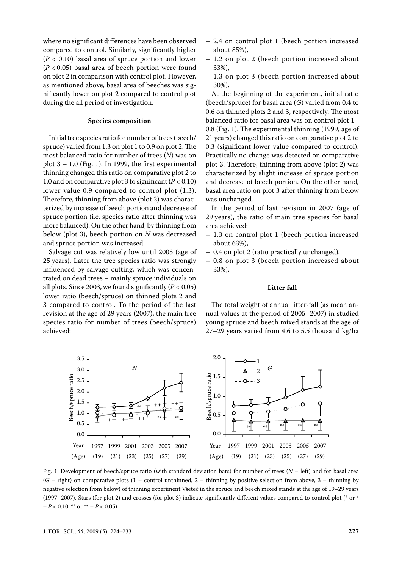where no significant differences have been observed compared to control. Similarly, significantly higher (*P* < 0.10) basal area of spruce portion and lower (*P* < 0.05) basal area of beech portion were found on plot 2 in comparison with control plot. However, as mentioned above, basal area of beeches was significantly lower on plot 2 compared to control plot during the all period of investigation.

#### **Species composition**

Initial tree species ratio for number of trees (beech/ spruce) varied from 1.3 on plot 1 to 0.9 on plot 2. The most balanced ratio for number of trees (*N*) was on plot  $3 - 1.0$  (Fig. 1). In 1999, the first experimental thinning changed this ratio on comparative plot 2 to 1.0 and on comparative plot 3 to significant  $(P < 0.10)$ lower value 0.9 compared to control plot (1.3). Therefore, thinning from above (plot 2) was characterized by increase of beech portion and decrease of spruce portion (i.e. species ratio after thinning was more balanced). On the other hand, by thinning from below (plot 3), beech portion on *N* was decreased and spruce portion was increased.

Salvage cut was relatively low until 2003 (age of 25 years). Later the tree species ratio was strongly influenced by salvage cutting, which was concentrated on dead trees – mainly spruce individuals on all plots. Since 2003, we found significantly  $(P < 0.05)$ lower ratio (beech/spruce) on thinned plots 2 and 3 compared to control. To the period of the last revision at the age of 29 years (2007), the main tree species ratio for number of trees (beech/spruce) achieved:

- 2.4 on control plot 1 (beech portion increased about 85%),
- 1.2 on plot 2 (beech portion increased about 33%),
- 1.3 on plot 3 (beech portion increased about 30%).

At the beginning of the experiment, initial ratio (beech/spruce) for basal area (*G*) varied from 0.4 to 0.6 on thinned plots 2 and 3, respectively. The most balanced ratio for basal area was on control plot 1– 0.8 (Fig. 1). The experimental thinning (1999, age of 21 years) changed this ratio on comparative plot 2 to 0.3 (significant lower value compared to control). Practically no change was detected on comparative plot 3. Therefore, thinning from above (plot 2) was characterized by slight increase of spruce portion and decrease of beech portion. On the other hand, basal area ratio on plot 3 after thinning from below was unchanged.

In the period of last revision in 2007 (age of 29 years), the ratio of main tree species for basal area achieved:

- 1.3 on control plot 1 (beech portion increased about 63%),
- 0.4 on plot 2 (ratio practically unchanged),
- 0.8 on plot 3 (beech portion increased about 33%).

#### **Litter fall**

The total weight of annual litter-fall (as mean annual values at the period of 2005–2007) in studied young spruce and beech mixed stands at the age of 27–29 years varied from 4.6 to 5.5 thousand kg/ha



Fig. 1. Development of beech/spruce ratio (with standard deviation bars) for number of trees (*N* – left) and for basal area (*G* – right) on comparative plots (1 – control unthinned, 2 – thinning by positive selection from above, 3 – thinning by negative selection from below) of thinning experiment Všeteč in the spruce and beech mixed stands at the age of 19–29 years (1997–2007). Stars (for plot 2) and crosses (for plot 3) indicate significantly different values compared to control plot (\* or <sup>+</sup>  $-P < 0.10$ , \*\* or <sup>++</sup> –  $P < 0.05$ )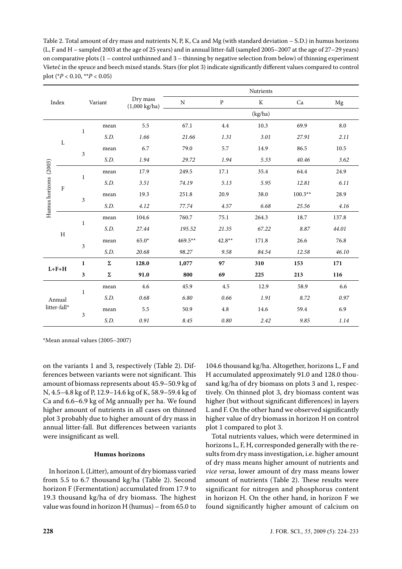Table 2. Total amount of dry mass and nutrients N, P, K, Ca and Mg (with standard deviation – S.D.) in humus horizons (L, F and H – sampled 2003 at the age of 25 years) and in annual litter-fall (sampled 2005–2007 at the age of 27–29 years) on comparative plots (1 – control unthinned and 3 – thinning by negative selection from below) of thinning experiment Všeteč in the spruce and beech mixed stands. Stars (for plot 3) indicate significantly different values compared to control plot (\**P* < 0.10, \*\**P* < 0.05)

| Index                  |              | Variant      |                       | Dry mass<br>$(1,000 \text{ kg/ha})$ |                |              | Nutrients |           |       |
|------------------------|--------------|--------------|-----------------------|-------------------------------------|----------------|--------------|-----------|-----------|-------|
|                        |              |              |                       |                                     | $\overline{N}$ | $\mathbf{P}$ | $\rm K$   | Ca        | Mg    |
|                        |              |              |                       |                                     | (kg/ha)        |              |           |           |       |
|                        |              |              | mean                  | 5.5                                 | 67.1           | 4.4          | 10.3      | 69.9      | 8.0   |
|                        |              | $\mathbf{1}$ | S.D.                  | 1.66                                | 21.66          | 1.31         | 3.01      | 27.91     | 2.11  |
|                        | $\mathbf{L}$ |              | mean                  | 6.7                                 | 79.0           | 5.7          | 14.9      | 86.5      | 10.5  |
|                        |              | 3            | S.D.                  | 1.94                                | 29.72          | 1.94         | 5.33      | 40.46     | 3.62  |
|                        |              |              | mean                  | 17.9                                | 249.5          | 17.1         | 35.4      | 64.4      | 24.9  |
|                        | $\rm F$      | $\mathbf{1}$ | S.D.                  | 3.51                                | 74.19          | 5.13         | 5.95      | 12.81     | 6.11  |
|                        |              | 3            | mean                  | 19.3                                | 251.8          | 20.9         | 38.0      | $100.3**$ | 28.9  |
| Humus horizons (2003)  |              |              | S.D.                  | 4.12                                | 77.74          | 4.57         | 6.68      | 25.56     | 4.16  |
|                        |              |              | mean                  | 104.6                               | 760.7          | 75.1         | 264.3     | 18.7      | 137.8 |
|                        | $\, {\rm H}$ | $\mathbf{1}$ | S.D.                  | 27.44                               | 195.52         | 21.35        | 67.22     | 8.87      | 44.01 |
|                        |              |              | mean                  | $65.0*$                             | 469.5**        | $42.8**$     | 171.8     | 26.6      | 76.8  |
|                        |              | 3            | S.D.                  | 20.68                               | 98.27          | 9.58         | 84.54     | 12.58     | 46.10 |
|                        | $L + F + H$  | $\mathbf{1}$ | $\Sigma$              | 128.0                               | 1,077          | 97           | 310       | 153       | 171   |
|                        |              | 3            | $\boldsymbol{\Sigma}$ | 91.0                                | 800            | 69           | 225       | 213       | 116   |
| Annual<br>litter-fall* |              | $\mathbf{1}$ | mean                  | 4.6                                 | 45.9           | 4.5          | 12.9      | 58.9      | 6.6   |
|                        |              |              | S.D.                  | 0.68                                | 6.80           | 0.66         | 1.91      | 8.72      | 0.97  |
|                        |              |              | mean                  | 5.5                                 | 50.9           | 4.8          | 14.6      | 59.4      | 6.9   |
|                        |              | 3            | S.D.                  | 0.91                                | 8.45           | 0.80         | 2.42      | 9.85      | 1.14  |

\*Mean annual values (2005–2007)

on the variants 1 and 3, respectively (Table 2). Differences between variants were not significant. This amount of biomass represents about 45.9–50.9 kg of N, 4.5–4.8 kg of P, 12.9–14.6 kg of K, 58.9–59.4 kg of Ca and 6.6–6.9 kg of Mg annually per ha. We found higher amount of nutrients in all cases on thinned plot 3 probably due to higher amount of dry mass in annual litter-fall. But differences between variants were insignificant as well.

# **Humus horizons**

In horizon L (Litter), amount of dry biomass varied from 5.5 to 6.7 thousand kg/ha (Table 2). Second horizon F (Fermentation) accumulated from 17.9 to 19.3 thousand kg/ha of dry biomass. The highest value was found in horizon H (humus) – from 65.0 to

104.6 thousand kg/ha. Altogether, horizons L, F and H accumulated approximately 91.0 and 128.0 thousand kg/ha of dry biomass on plots 3 and 1, respectively. On thinned plot 3, dry biomass content was higher (but without significant differences) in layers L and F. On the other hand we observed significantly higher value of dry biomass in horizon H on control plot 1 compared to plot 3.

Total nutrients values, which were determined in horizons L, F, H, corresponded generally with the results from dry mass investigation, i.e. higher amount of dry mass means higher amount of nutrients and *vice versa*, lower amount of dry mass means lower amount of nutrients (Table 2). These results were significant for nitrogen and phosphorus content in horizon H. On the other hand, in horizon F we found significantly higher amount of calcium on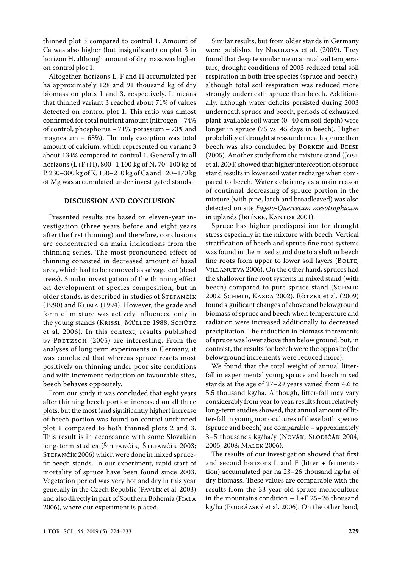thinned plot 3 compared to control 1. Amount of Ca was also higher (but insignificant) on plot 3 in horizon H, although amount of dry mass was higher on control plot 1.

Altogether, horizons L, F and H accumulated per ha approximately 128 and 91 thousand kg of dry biomass on plots 1 and 3, respectively. It means that thinned variant 3 reached about 71% of values detected on control plot 1. This ratio was almost confirmed for total nutrient amount (nitrogen – 74% of control, phosphorus – 71%, potassium – 73% and magnesium  $-68\%$ ). The only exception was total amount of calcium, which represented on variant 3 about 134% compared to control 1. Generally in all horizons (L+F+H), 800–1,100 kg of N, 70–100 kg of P, 230–300 kg of K, 150–210 kg of Ca and 120–170 kg of Mg was accumulated under investigated stands.

#### **DISCUSSION AND CONCLUSION**

Presented results are based on eleven-year investigation (three years before and eight years after the first thinning) and therefore, conclusions are concentrated on main indications from the thinning series. The most pronounced effect of thinning consisted in decreased amount of basal area, which had to be removed as salvage cut (dead trees). Similar investigation of the thinning effect on development of species composition, but in older stands, is described in studies of ŠTEFANČÍK (1990) and Klíma (1994). However, the grade and form of mixture was actively influenced only in the young stands (KRISSL, MÜLLER 1988; SCHÜTZ et al. 2006). In this context, results published by PRETZSCH (2005) are interesting. From the analyses of long term experiments in Germany, it was concluded that whereas spruce reacts most positively on thinning under poor site conditions and with increment reduction on favourable sites, beech behaves oppositely.

From our study it was concluded that eight years after thinning beech portion increased on all three plots, but the most (and significantly higher) increase of beech portion was found on control unthinned plot 1 compared to both thinned plots 2 and 3. This result is in accordance with some Slovakian long-term studies (ŠTEFANČÍK, ŠTEFANČÍK 2003; Štefančík 2006) which were done in mixed sprucefir-beech stands. In our experiment, rapid start of mortality of spruce have been found since 2003. Vegetation period was very hot and dry in this year generally in the Czech Republic (PAVLÍK et al. 2003) and also directly in part of Southern Bohemia (FIALA 2006), where our experiment is placed.

Similar results, but from older stands in Germany were published by Nikolova et al. (2009). They found that despite similar mean annual soil temperature, drought conditions of 2003 reduced total soil respiration in both tree species (spruce and beech), although total soil respiration was reduced more strongly underneath spruce than beech. Additionally, although water deficits persisted during 2003 underneath spruce and beech, periods of exhausted plant-available soil water (0–40 cm soil depth) were longer in spruce (75 vs. 45 days in beech). Higher probability of drought stress underneath spruce than beech was also concluded by BORKEN and BEESE (2005). Another study from the mixture stand (JOST et al. 2004) showed that higher interception of spruce stand results in lower soil water recharge when compared to beech. Water deficiency as a main reason of continual decreasing of spruce portion in the mixture (with pine, larch and broadleaved) was also detected on site *Fageto-Quercetum mesotrophicum* in uplands (JELÍNEK, KANTOR 2001).

Spruce has higher predisposition for drought stress especially in the mixture with beech. Vertical stratification of beech and spruce fine root systems was found in the mixed stand due to a shift in beech fine roots from upper to lower soil layers (BOLTE, Villanueva 2006). On the other hand, spruces had the shallower fine root systems in mixed stand (with beech) compared to pure spruce stand (SCHMID 2002; Schmid, Kazda 2002). Rötzer et al. (2009) found significant changes of above and belowground biomass of spruce and beech when temperature and radiation were increased additionally to decreased precipitation. The reduction in biomass increments of spruce was lower above than below ground, but, in contrast, the results for beech were the opposite (the belowground increments were reduced more).

We found that the total weight of annual litterfall in experimental young spruce and beech mixed stands at the age of 27–29 years varied from 4.6 to 5.5 thousand kg/ha. Although, litter-fall may vary considerably from year to year, results from relatively long-term studies showed, that annual amount of litter-fall in young monocultures of these both species (spruce and beech) are comparable – approximately 3-5 thousands kg/ha/y (Novák, SLODIČÁK 2004, 2006, 2008; Malek 2006).

The results of our investigation showed that first and second horizons L and F (litter + fermentation) accumulated per ha 23–26 thousand kg/ha of dry biomass. These values are comparable with the results from the 33-year-old spruce monoculture in the mountains condition  $- L + F$  25–26 thousand kg/ha (PODRÁZSKÝ et al. 2006). On the other hand,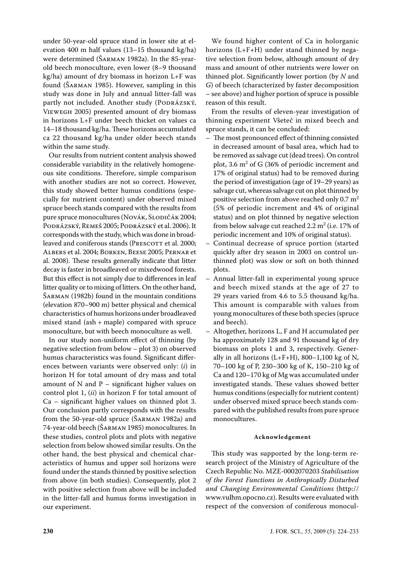under 50-year-old spruce stand in lower site at elevation 400 m half values (13–15 thousand kg/ha) were determined (Šarman 1982a). In the 85-yearold beech monoculture, even lower (8–9 thousand kg/ha) amount of dry biomass in horizon L+F was found (Šarman 1985). However, sampling in this study was done in July and annual litter-fall was partly not included. Another study (PODRÁZSKÝ, Viewegh 2005) presented amount of dry biomass in horizons L+F under beech thicket on values ca 14–18 thousand kg/ha. These horizons accumulated ca 22 thousand kg/ha under older beech stands within the same study.

Our results from nutrient content analysis showed considerable variability in the relatively homogeneous site conditions. Therefore, simple comparison with another studies are not so correct. However, this study showed better humus conditions (especially for nutrient content) under observed mixed spruce beech stands compared with the results from pure spruce monocultures (Novák, SLODIČák 2004; Podrázský, Remeš 2005; Podrázský et al. 2006). It corresponds with the study, which was done in broadleaved and coniferous stands (PRESCOTT et al. 2000; Albers et al. 2004; Borken, Beese 2005; Pernar et al. 2008). These results generally indicate that litter decay is faster in broadleaved or mixedwood forests. But this effect is not simply due to differences in leaf litter quality or to mixing of litters. On the other hand, Šarman (1982b) found in the mountain conditions (elevation 870–900 m) better physical and chemical characteristics of humus horizons under broadleaved mixed stand (ash + maple) compared with spruce monoculture, but with beech monoculture as well.

In our study non-uniform effect of thinning (by negative selection from below – plot 3) on observed humus characteristics was found. Significant differences between variants were observed only: (*i*) in horizon H for total amount of dry mass and total amount of N and P – significant higher values on control plot 1, (*ii*) in horizon F for total amount of Ca – significant higher values on thinned plot 3. Our conclusion partly corresponds with the results from the 50-year-old spruce (Šarman 1982a) and 74-year-old beech (Šarman 1985) monocultures. In these studies, control plots and plots with negative selection from below showed similar results. On the other hand, the best physical and chemical characteristics of humus and upper soil horizons were found under the stands thinned by positive selection from above (in both studies). Consequently, plot 2 with positive selection from above will be included in the litter-fall and humus forms investigation in our experiment.

We found higher content of Ca in holorganic horizons (L+F+H) under stand thinned by negative selection from below, although amount of dry mass and amount of other nutrients were lower on thinned plot. Significantly lower portion (by *N* and *G*) of beech (characterized by faster decomposition – see above) and higher portion of spruce is possible reason of this result.

From the results of eleven-year investigation of thinning experiment Všeteč in mixed beech and spruce stands, it can be concluded:

- The most pronounced effect of thinning consisted in decreased amount of basal area, which had to be removed as salvage cut (dead trees). On control plot,  $3.6 \text{ m}^2$  of G (36% of periodic increment and 17% of original status) had to be removed during the period of investigation (age of 19–29 years) as salvage cut, whereas salvage cut on plot thinned by positive selection from above reached only  $0.7 \text{ m}^2$ (5% of periodic increment and 4% of original status) and on plot thinned by negative selection from below salvage cut reached  $2.2 \text{ m}^2$  (i.e. 17% of periodic increment and 10% of original status).
- Continual decrease of spruce portion (started quickly after dry season in 2003 on control unthinned plot) was slow or soft on both thinned plots.
- Annual litter-fall in experimental young spruce and beech mixed stands at the age of 27 to 29 years varied from 4.6 to 5.5 thousand kg/ha. This amount is comparable with values from young monocultures of these both species (spruce and beech).
- Altogether, horizons L, F and H accumulated per ha approximately 128 and 91 thousand kg of dry biomass on plots 1 and 3, respectively. Generally in all horizons (L+F+H), 800–1,100 kg of N, 70–100 kg of P, 230–300 kg of K, 150–210 kg of Ca and 120–170 kg of Mg was accumulated under investigated stands. These values showed better humus conditions (especially for nutrient content) under observed mixed spruce beech stands compared with the published results from pure spruce monocultures.

# **Acknowledgement**

This study was supported by the long-term research project of the Ministry of Agriculture of the Czech Republic No. MZE-0002070203 *Stabilisation of the Forest Functions in Anthropically Disturbed and Changing Environmental Conditions* (http:// www.vulhm.opocno.cz). Results were evaluated with respect of the conversion of coniferous monocul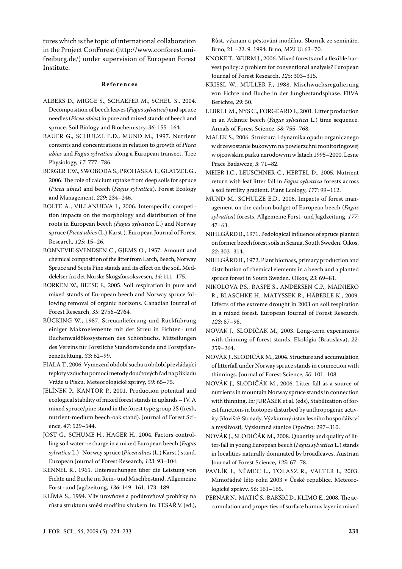tures which is the topic of international collaboration in the Project ConForest (http://www.conforest.unifreiburg.de/) under supervision of European Forest Institute.

#### **R e f e r e n c e s**

- ALBERS D., MIGGE S., SCHAEFER M., SCHEU S., 2004. Decomposition of beech leaves (*Fagus sylvatica*) and spruce needles (*Picea abies*) in pure and mixed stands of beech and spruce. Soil Biology and Biochemistry, *36*: 155–164.
- BAUER G., SCHULZE E.D., MUND M., 1997. Nutrient contents and concentrations in relation to growth of *Picea abies* and *Fagus sylvatica* along a European transect. Tree Physiology, *17*: 777–786.
- BERGER T.W., SWOBODA S., PROHASKA T., GLATZEL G., 2006. The role of calcium uptake from deep soils for spruce (*Picea abies*) and beech (*Fagus sylvatica*). Forest Ecology and Management, *229*: 234–246.
- BOLTE A., VILLANUEVA I., 2006. Interspecific competition impacts on the morphology and distribution of fine roots in European beech *(Fagus sylvatica* L.) and Norway spruce (*Picea abies* (L.) Karst.). European Journal of Forest Research, *125*: 15–26.
- BONNEVIE-SVENDSEN C., GJEMS O., 1957. Amount and chemical composition of the litter from Larch, Beech, Norway Spruce and Scots Pine stands and its effect on the soil. Meddelelser fra det Norske Skogsforsoksvesen, *14*: 111–175.
- BORKEN W., BEESE F., 2005. Soil respiration in pure and mixed stands of European beech and Norway spruce following removal of organic horizons. Canadian Journal of Forest Research, *35*: 2756–2764.
- BÜCKING W., 1987. Streuanlieferung und Rückführung einiger Makroelemente mit der Streu in Fichten- und Buchenwaldökosystemen des Schönbuchs. Mitteilungen des Vereins für Forstliche Standortskunde und Forstpflanzenzüchtung, *33*: 62–99.
- FIALA T., 2006. Vymezení období sucha a období převládající teploty vzduchu pomocí metody doučtových řad na příkladu Vráže u Písku. Meteorologické zprávy, *59*: 65–75.
- JELÍNEK P., KANTOR P., 2001. Production potential and ecological stability of mixed forest stands in uplands – IV. A mixed spruce/pine stand in the forest type group 2S (fresh, nutrient-medium beech-oak stand). Journal of Forest Science, *47*: 529–544.
- JOST G., SCHUME H., HAGER H., 2004. Factors controlling soil water-recharge in a mixed European beech (*Fagus sylvatica* L.) -Norway spruce (*Picea abies* (L.) Karst.) stand. European Journal of Forest Research, *123*: 93–104.
- KENNEL R., 1965. Untersuchungen über die Leistung von Fichte und Buche im Rein- und Mischbestand. Allgemeine Forst- und Jagdzeitung, *136*: 149–161, 173–189.
- KLÍMA S., 1994. Vliv úrovňové a podúrovňové probírky na růst a strukturu směsi modřínu s bukem. In: Tesař V. (ed.),

Růst, význam a pěstování modřínu. Sborník ze semináře, Brno, 21.–22. 9. 1994. Brno, MZLU: 63–70.

- KNOKE T., WURM J., 2006. Mixed forests and a flexible harvest policy: a problem for conventional analysis? European Journal of Forest Research, *125*: 303–315.
- KRISSL W., MÜLLER F., 1988. Mischwuchsregulierung von Fichte und Buche in der Jungbestandsphase. FBVA Berichte, *29*: 50.
- LEBRET M., NYS C., FORGEARD F., 2001. Litter production in an Atlantic beech (*Fagus sylvatica* L.) time sequence. Annals of Forest Science, *58*: 755–768.
- MALEK S., 2006. Struktura i dynamika opadu organicznego w drzewostanie bukowym na powierzchni monitoringowej w ojcowskim parku narodowym w latach 1995–2000. Lesne Prace Badawcze, *3*: 71–82.
- MEIER I.C., LEUSCHNER C., HERTEL D., 2005. Nutrient return with leaf litter fall in *Fagus sylvatica* forests across a soil fertility gradient. Plant Ecology, *177*: 99–112.
- MUND M., SCHULZE E.D., 2006. Impacts of forest management on the carbon budget of European beech (*Fagus sylvatica*) forests. Allgemeine Forst- und Jagdzeitung, *177*: 47–63.
- NIHLGÅRD B., 1971. Pedological influence of spruce planted on former beech forest soils in Scania, South Sweden. Oikos, *22*: 302–314.
- NIHLGÅRD B., 1972. Plant biomass, primary production and distribution of chemical elements in a beech and a planted spruce forest in South Sweden. Oikos, *23*: 69–81.
- NIKOLOVA P.S., RASPE S., ANDERSEN C.P., MAINIERO R., BLASCHKE H., MATYSSEK R., HÄBERLE K., 2009. Effects of the extreme drought in 2003 on soil respiration in a mixed forest. European Journal of Forest Research, *128*: 87–98.
- NOVÁK J., SLODIČÁK M., 2003. Long-term experiments with thinning of forest stands. Ekológia (Bratislava), *22*: 259–264.
- NOVÁK J., SLODIČÁK M., 2004. Structure and accumulation of litterfall under Norway spruce stands in connection with thinnings. Journal of Forest Science, *50*: 101–108.
- NOVÁK J., SLODIČÁK M., 2006. Litter-fall as a source of nutrients in mountain Norway spruce stands in connection with thinning. In*:* JURÁSEK et al. (eds), Stabilization of forest functions in biotopes disturbed by anthropogenic activity. Jíloviště-Strnady, Výzkumný ústav lesního hospodářství a myslivosti, Výzkumná stanice Opočno: 297–310.
- NOVÁK J., SLODIČÁK M., 2008. Quantity and quality of litter-fall in young European beech (*Fagus sylvatica* L.) stands in localities naturally dominated by broadleaves. Austrian Journal of Forest Science, *125*: 67–78.
- PAVLÍK J., NĚMEC L., TOLASZ R., VALTER J., 2003. Mimořádné léto roku 2003 v České republice. Meteorologické zprávy, *56*: 161–165.
- PERNAR N., MATIĆ S., BAKŠIĆ D., KLIMO E., 2008. The accumulation and properties of surface humus layer in mixed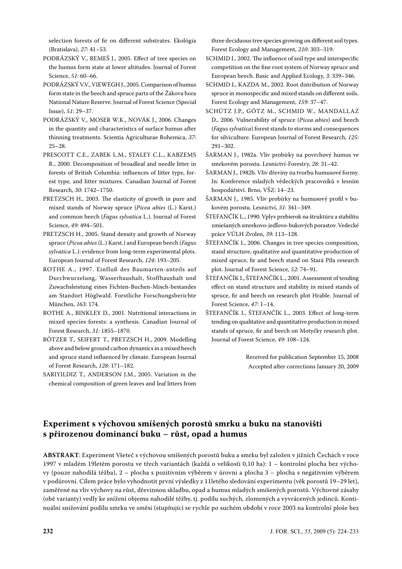selection forests of fir on different substrates. Ekológia (Bratislava), *27*: 41–53.

PODRÁZSKÝ V., REMEŠ J., 2005. Effect of tree species on the humus form state at lower altitudes. Journal of Forest Science, *51*: 60–66.

PODRÁZSKÝ V.V., VIEWEGH J., 2005. Comparison of humus form state in the beech and spruce parts of the Žákova hora National Nature Reserve. Journal of Forest Science (Special Issue), *51*: 29–37.

PODRÁZSKÝ V., MOSER W.K., NOVÁK J., 2006. Changes in the quantity and characteristics of surface humus after thinning treatments. Scientia Agriculturae Bohemica, *37*:  $25 - 28.$ 

PRESCOTT C.E., ZABEK L.M., STALEY C.L., KABZEMS R., 2000. Decomposition of broadleaf and needle litter in forests of British Columbia: influences of litter type, forest type, and litter mixtures. Canadian Journal of Forest Research, *30*: 1742–1750.

PRETZSCH H., 2003. The elasticity of growth in pure and mixed stands of Norway spruce (*Picea abies* (L.) Karst.) and common beech (*Fagus sylvatica* L.). Journal of Forest Science, *49*: 494–501.

PRETZSCH H., 2005. Stand density and growth of Norway spruce (*Picea abies* (L.) Karst.) and European beech (*Fagus sylvatica* L.): evidence from long-term experimental plots. European Journal of Forest Research, *124*: 193–205.

ROTHE A., 1997. Einfluß des Baumarten-anteils auf Durchwurzelung, Wasserhaushalt, Stoffhaushalt und Zuwachsleistung eines Fichten-Buchen-Misch-bestandes am Standort Höglwald. Forstliche Forschungsberichte München, *163*: 174.

ROTHE A., BINKLEY D., 2001. Nutritional interactions in mixed species forests: a synthesis. Canadian Journal of Forest Research, *31*: 1855–1870.

RÖTZER T., SEIFERT T., PRETZSCH H., 2009. Modelling above and below ground carbon dynamics in a mixed beech and spruce stand influenced by climate. European Journal of Forest Research, *128*: 171–182.

SARIYILDIZ T., ANDERSON J.M., 2005. Variation in the chemical composition of green leaves and leaf litters from three deciduous tree species growing on different soil types. Forest Ecology and Management, *210*: 303–319.

SCHMID I., 2002. The influence of soil type and interspecific competition on the fine root system of Norway spruce and European beech. Basic and Applied Ecology, *3*: 339–346.

SCHMID I., KAZDA M., 2002. Root distribution of Norway spruce in monospecific and mixed stands on different soils. Forest Ecology and Management, *159*: 37–47.

SCHÜTZ J.P., GÖTZ M., SCHMID W., MANDALLAZ D., 2006. Vulnerability of spruce (*Picea abies*) and beech (*Fagus sylvatica*) forest stands to storms and consequences for silviculture. European Journal of Forest Research, *125*: 291–302.

ŠARMAN J., 1982a. Vliv probírky na povrchový humus ve smrkovém porostu. Lesnictví-Forestry, *28*: 31–42.

ŠARMAN J., 1982b. Vliv dřeviny na tvorbu humusové formy. In: Konference mladých vědeckých pracovníků v lesním hospodářství. Brno, VŠZ: 14–23.

ŠARMAN J., 1985. Vliv probírky na humusový profil v bukovém porostu. Lesnictví, *31*: 341–349.

ŠTEFANČÍK L., 1990. Vplyv prebierok na štruktúru a stabilitu zmiešaných smrekovo-jedľovo-bukových porastov. Vedecké práce VÚLH Zvolen, *39*: 113–128.

ŠTEFANČÍK I., 2006. Changes in tree species composition, stand structure, qualitative and quantitative production of mixed spruce, fir and beech stand on Stará Píla research plot. Journal of Forest Science, *52*: 74–91.

ŠTEFANČÍK I., ŠTEFANČÍK L., 2001. Assessment of tending effect on stand structure and stability in mixed stands of spruce, fir and beech on research plot Hrable. Journal of Forest Science, *47*: 1–14.

ŠTEFANČÍK I., ŠTEFANČÍK L., 2003. Effect of long-term tending on qualitative and quantitative production in mixed stands of spruce, fir and beech on Motyčky research plot. Journal of Forest Science, *49*: 108–124.

> Received for publication September 15, 2008 Accepted after corrections January 20, 2009

# **Experiment s výchovou smíšených porostů smrku a buku na stanovišti s přirozenou dominancí buku – růst, opad a humus**

**ABSTRAKT**: Experiment Všeteč s výchovou smíšených porostů buku a smrku byl založen v jižních Čechách v roce 1997 v mladém 19letém porostu ve třech variantách (každá o velikosti 0,10 ha): 1 – kontrolní plocha bez výchovy (pouze nahodilá těžba), 2 – plocha s pozitivním výběrem v úrovni a plocha 3 – plocha s negativním výběrem v podúrovni. Cílem práce bylo vyhodnotit první výsledky z 11letého sledování experimentu (věk porostů 19–29 let), zaměřené na vliv výchovy na růst, dřevinnou skladbu, opad a humus mladých smíšených porostů. Výchovné zásahy (obě varianty) vedly ke snížení objemu nahodilé těžby, tj. podílu suchých, zlomených a vyvrácených jedinců. Kontinuální snižování podílu smrku ve směsi (stupňující se rychle po suchém období v roce 2003 na kontrolní ploše bez